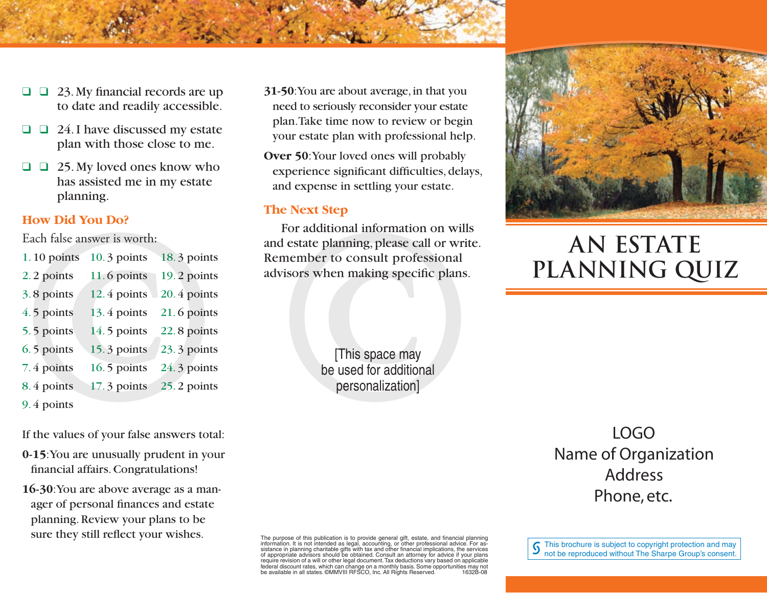- $\Box$   $\Box$  23. My financial records are up to date and readily accessible.
- $\Box$   $\Box$  24. I have discussed my estate plan with those close to me.
- $\Box$   $\Box$  25. My loved ones know who has assisted me in my estate planning.

## **How Did You Do?**

Each false answer is worth:

| $1.10$ points | $10.3$ points | 18.3 points |
|---------------|---------------|-------------|
| 2.2 points    | 11.6 points   | 19.2 points |
| 3.8 points    | $12.4$ points | 20.4 points |
| 4.5 points    | $13.4$ points | 21.6 points |
| 5.5 points    | $14.5$ points | 22.8 points |
| 6.5 points    | 15.3 points   | 23.3 points |
| 7.4 points    | $16.5$ points | 24.3 points |
| 8.4 points    | $17.3$ points | 25.2 points |
| 9.4 points    |               |             |

If the values of your false answers total:

- **0-15**: You are unusually prudent in your financial affairs. Congratulations!
- **16-30**: You are above average as a manager of personal finances and estate planning. Review your plans to be sure they still reflect your wishes.
- **31-50**: You are about average, in that you need to seriously reconsider your estate plan. Take time now to review or begin your estate plan with professional help.
- **Over 50: Your loved ones will probably** experience significant difficulties, delays, and expense in settling your estate.

#### **The Next Step**

For additional information on wills and estate planning, please call or write. Remember to consult professional advisors when making specific plans.

> [This space may be used for additional personalization]



# **AN ESTATE PLANNING QUIZ**

LOGO Name of Organization Address Phone, etc.

The purpose of this publication is to provide general gift, estate, and financial planning<br>information. It is not intended as legal, accounting, or other professional advice. For as-<br>sistance in planning charitable gifts w of appropriate advisors should be obtained. Consult an attorney for advice if your plans require revision of a will or other legal document. Tax deductions vary based on applicable federal discount rates, which can change on a monthly basis. Some opportunities may not be available in all states. ©MMVIII RFSCO, Inc. All Rights Reserved. 1632B-08  $\int$  This brochure is subject to copyright protection and may not be reproduced without The Sharpe Group's consent.